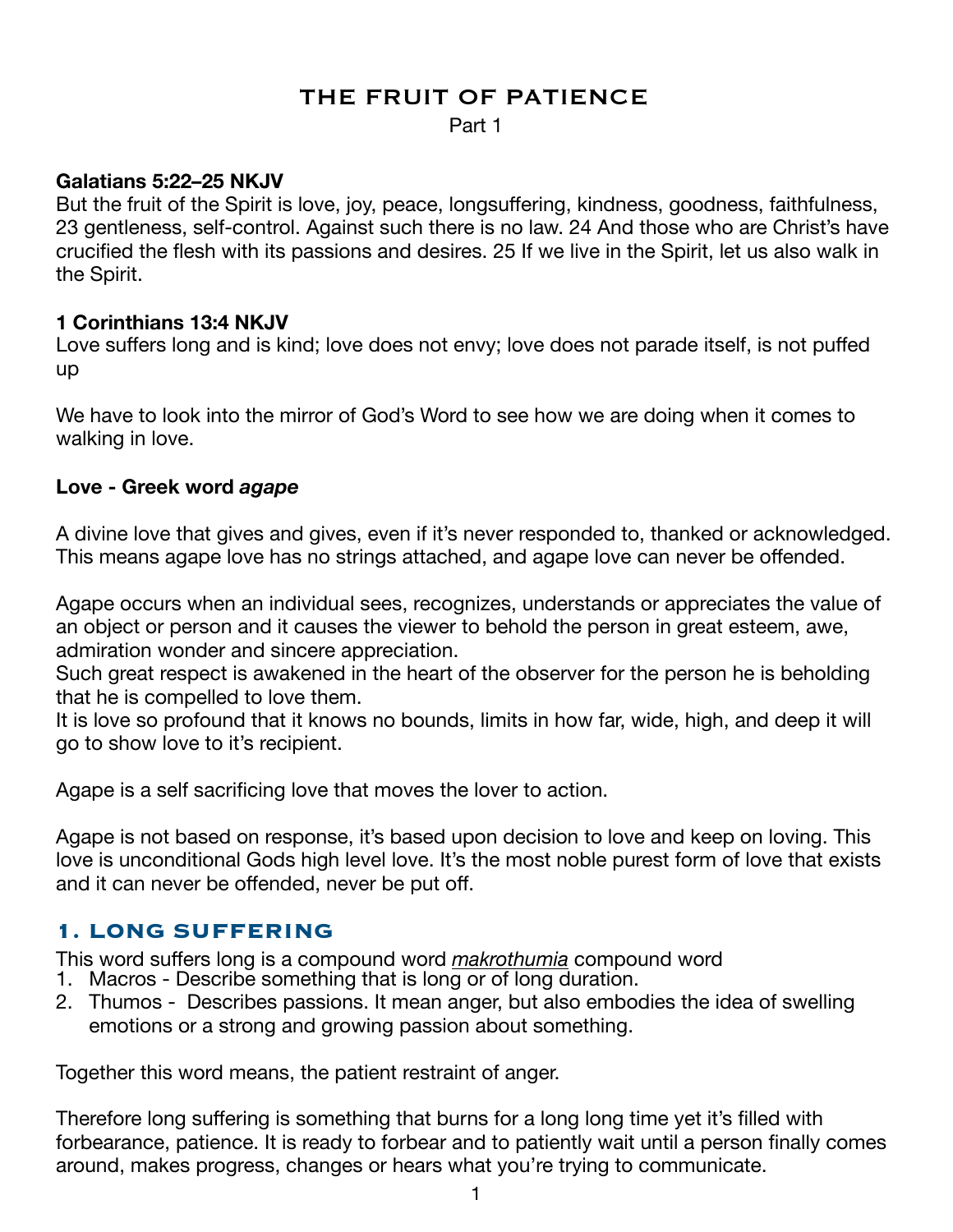# THE FRUIT OF PATIENCE

Part 1

## **Galatians 5:22–25 NKJV**

But the fruit of the Spirit is love, joy, peace, longsuffering, kindness, goodness, faithfulness, 23 gentleness, self-control. Against such there is no law. 24 And those who are Christ's have crucified the flesh with its passions and desires. 25 If we live in the Spirit, let us also walk in the Spirit.

#### **1 Corinthians 13:4 NKJV**

Love suffers long and is kind; love does not envy; love does not parade itself, is not puffed up

We have to look into the mirror of God's Word to see how we are doing when it comes to walking in love.

## **Love - Greek word** *agape*

A divine love that gives and gives, even if it's never responded to, thanked or acknowledged. This means agape love has no strings attached, and agape love can never be offended.

Agape occurs when an individual sees, recognizes, understands or appreciates the value of an object or person and it causes the viewer to behold the person in great esteem, awe, admiration wonder and sincere appreciation.

Such great respect is awakened in the heart of the observer for the person he is beholding that he is compelled to love them.

It is love so profound that it knows no bounds, limits in how far, wide, high, and deep it will go to show love to it's recipient.

Agape is a self sacrificing love that moves the lover to action.

Agape is not based on response, it's based upon decision to love and keep on loving. This love is unconditional Gods high level love. It's the most noble purest form of love that exists and it can never be offended, never be put off.

# **1. LONG SUFFERING**

This word suffers long is a compound word *makrothumia* compound word

- 1. Macros Describe something that is long or of long duration.
- 2. Thumos Describes passions. It mean anger, but also embodies the idea of swelling emotions or a strong and growing passion about something.

Together this word means, the patient restraint of anger.

Therefore long suffering is something that burns for a long long time yet it's filled with forbearance, patience. It is ready to forbear and to patiently wait until a person finally comes around, makes progress, changes or hears what you're trying to communicate.